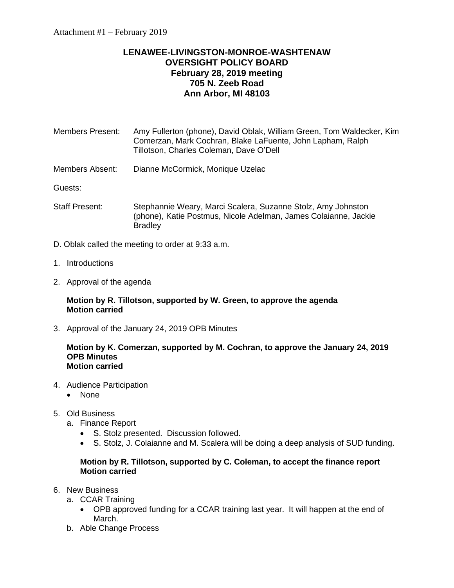# **LENAWEE-LIVINGSTON-MONROE-WASHTENAW OVERSIGHT POLICY BOARD February 28, 2019 meeting 705 N. Zeeb Road Ann Arbor, MI 48103**

- Members Present: Amy Fullerton (phone), David Oblak, William Green, Tom Waldecker, Kim Comerzan, Mark Cochran, Blake LaFuente, John Lapham, Ralph Tillotson, Charles Coleman, Dave O'Dell
- Members Absent: Dianne McCormick, Monique Uzelac

Guests:

- Staff Present: Stephannie Weary, Marci Scalera, Suzanne Stolz, Amy Johnston (phone), Katie Postmus, Nicole Adelman, James Colaianne, Jackie **Bradley**
- D. Oblak called the meeting to order at 9:33 a.m.
- 1. Introductions
- 2. Approval of the agenda

#### **Motion by R. Tillotson, supported by W. Green, to approve the agenda Motion carried**

3. Approval of the January 24, 2019 OPB Minutes

#### **Motion by K. Comerzan, supported by M. Cochran, to approve the January 24, 2019 OPB Minutes Motion carried**

- 4. Audience Participation
	- None
- 5. Old Business
	- a. Finance Report
		- S. Stolz presented. Discussion followed.
		- S. Stolz, J. Colaianne and M. Scalera will be doing a deep analysis of SUD funding.

## **Motion by R. Tillotson, supported by C. Coleman, to accept the finance report Motion carried**

- 6. New Business
	- a. CCAR Training
		- OPB approved funding for a CCAR training last year. It will happen at the end of March.
	- b. Able Change Process